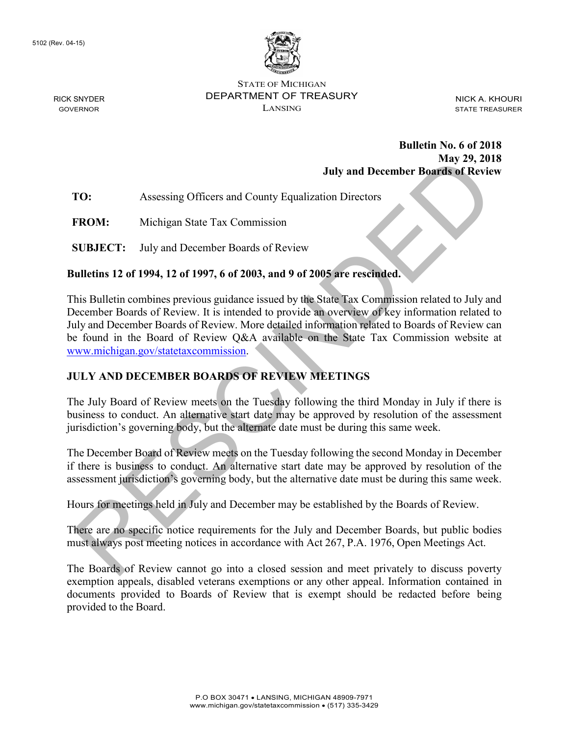

STATE OF MICHIGAN DEPARTMENT OF TREASURY LANSING

NICK A. KHOURI STATE TREASURER

#### **Bulletin No. 6 of 2018 May 29, 2018 July and December Boards of Review**

**TO:** Assessing Officers and County Equalization Directors

**FROM:** Michigan State Tax Commission

**SUBJECT:** July and December Boards of Review

#### **Bulletins 12 of 1994, 12 of 1997, 6 of 2003, and 9 of 2005 are rescinded.**

This Bulletin combines previous guidance issued by the State Tax Commission related to July and December Boards of Review. It is intended to provide an overview of key information related to July and December Boards of Review. More detailed information related to Boards of Review can be found in the Board of Review Q&A available on the State Tax Commission website at www.michigan.gov/statetaxcommission. July and December Boards of Review<br>
RES[C](http://www.michigan.gov/statetaxcommission)INDENCE: And STONGER INTO THE USE AND THE DAVIDED INTO THE DAVIDED THE REVIEW MISSIST THE USE THE THAND RESCIND THE THAND RESCIND THE USE OF THE USE OF THE USE OF THE USE OF THE INTO

# **JULY AND DECEMBER BOARDS OF REVIEW MEETINGS**

The July Board of Review meets on the Tuesday following the third Monday in July if there is business to conduct. An alternative start date may be approved by resolution of the assessment jurisdiction's governing body, but the alternate date must be during this same week.

The December Board of Review meets on the Tuesday following the second Monday in December if there is business to conduct. An alternative start date may be approved by resolution of the assessment jurisdiction's governing body, but the alternative date must be during this same week.

Hours for meetings held in July and December may be established by the Boards of Review.

There are no specific notice requirements for the July and December Boards, but public bodies must always post meeting notices in accordance with Act 267, P.A. 1976, Open Meetings Act.

The Boards of Review cannot go into a closed session and meet privately to discuss poverty exemption appeals, disabled veterans exemptions or any other appeal. Information contained in documents provided to Boards of Review that is exempt should be redacted before being provided to the Board.

RICK SNYDER GOVERNOR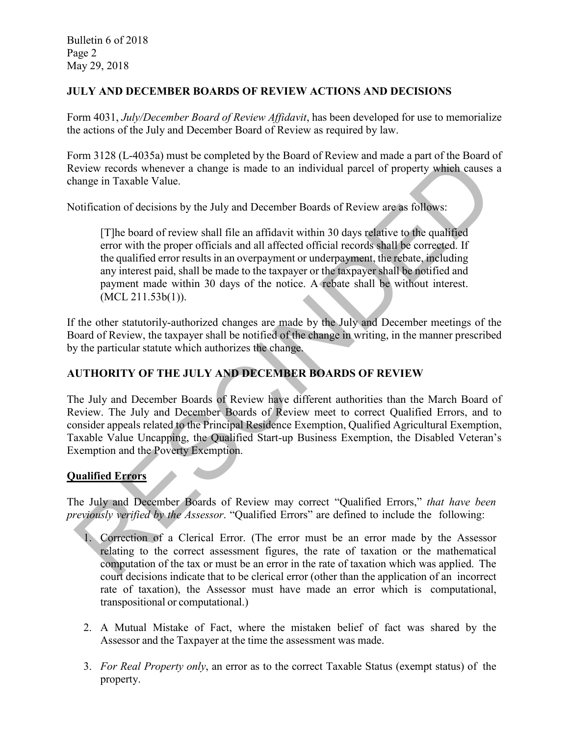Bulletin 6 of 2018 Page 2 May 29, 2018

#### **JULY AND DECEMBER BOARDS OF REVIEW ACTIONS AND DECISIONS**

Form 4031, *July/December Board of Review Affidavit*, has been developed for use to memorialize the actions of the July and December Board of Review as required by law.

Form 3128 (L-4035a) must be completed by the Board of Review and made a part of the Board of Review records whenever a change is made to an individual parcel of property which causes a change in Taxable Value.

Notification of decisions by the July and December Boards of Review are as follows:

[T]he board of review shall file an affidavit within 30 days relative to the qualified error with the proper officials and all affected official records shall be corrected. If the qualified error results in an overpayment or underpayment, the rebate, including any interest paid, shall be made to the taxpayer or the taxpayer shall be notified and payment made within 30 days of the notice. A rebate shall be without interest. (MCL 211.53b(1)). orius 21.6 (Le-2003) must be completed by the boat of the cost and make a part or the boat of property which causes<br>wive records whenever a change is made to an individual parcel of property which causes<br>hange in Taxable V

If the other statutorily-authorized changes are made by the July and December meetings of the Board of Review, the taxpayer shall be notified of the change in writing, in the manner prescribed by the particular statute which authorizes the change.

## **AUTHORITY OF THE JULY AND DECEMBER BOARDS OF REVIEW**

The July and December Boards of Review have different authorities than the March Board of Review. The July and December Boards of Review meet to correct Qualified Errors, and to consider appeals related to the Principal Residence Exemption, Qualified Agricultural Exemption, Taxable Value Uncapping, the Qualified Start-up Business Exemption, the Disabled Veteran's Exemption and the Poverty Exemption.

## **Qualified Errors**

The July and December Boards of Review may correct "Qualified Errors," *that have been previously verified by the Assessor*. "Qualified Errors" are defined to include the following:

- 1. Correction of a Clerical Error. (The error must be an error made by the Assessor relating to the correct assessment figures, the rate of taxation or the mathematical computation of the tax or must be an error in the rate of taxation which was applied. The court decisions indicate that to be clerical error (other than the application of an incorrect rate of taxation), the Assessor must have made an error which is computational, transpositional or computational.)
- 2. A Mutual Mistake of Fact, where the mistaken belief of fact was shared by the Assessor and the Taxpayer at the time the assessment was made.
- 3. *For Real Property only*, an error as to the correct Taxable Status (exempt status) of the property.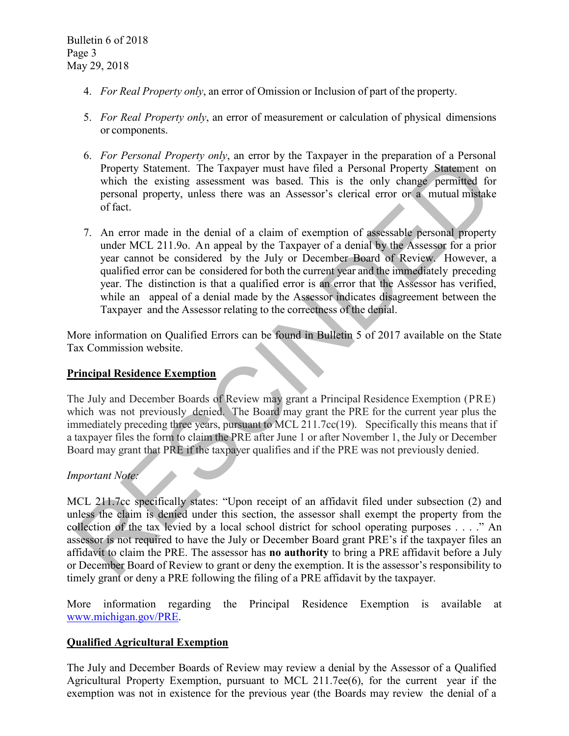- 4. *For Real Property only*, an error of Omission or Inclusion of part of the property.
- 5. *For Real Property only*, an error of measurement or calculation of physical dimensions or components.
- 6. *For Personal Property only*, an error by the Taxpayer in the preparation of a Personal Property Statement. The Taxpayer must have filed a Personal Property Statement on which the existing assessment was based. This is the only change permitted for personal property, unless there was an Assessor's clerical error or a mutual mistake of fact.
- 7. An error made in the denial of a claim of exemption of assessable personal property under MCL 211.9o. An appeal by the Taxpayer of a denial by the Assessor for a prior year cannot be considered by the July or December Board of Review. However, a qualified error can be considered for both the current year and the immediately preceding year. The distinction is that a qualified error is an error that the Assessor has verified, while an appeal of a denial made by the Assessor indicates disagreement between the Taxpayer and the Assessor relating to the correctness of the denial. o. Precondular Property only, an urino by un starpaye in the pearaton of a restoomal property. Statement The Taxpayer must have filed a Personal Property. Statement of which the existing assessment was based. This is the o

More information on Qualified Errors can be found in Bulletin 5 of 2017 available on the State Tax Commission website.

## **Principal Residence Exemption**

The July and December Boards of Review may grant a Principal Residence Exemption (PRE) which was not previously denied. The Board may grant the PRE for the current year plus the immediately preceding three years, pursuant to MCL 211.7cc(19). Specifically this means that if a taxpayer files the form to claim the PRE after June 1 or after November 1, the July or December Board may grant that PRE if the taxpayer qualifies and if the PRE was not previously denied.

## *Important Note:*

MCL 211.7cc specifically states: "Upon receipt of an affidavit filed under subsection (2) and unless the claim is denied under this section, the assessor shall exempt the property from the collection of the tax levied by a local school district for school operating purposes . . . ." An assessor is not required to have the July or December Board grant PRE's if the taxpayer files an affidavit to claim the PRE. The assessor has **no authority** to bring a PRE affidavit before a July or December Board of Review to grant or deny the exemption. It is the assessor's responsibility to timely grant or deny a PRE following the filing of a PRE affidavit by the taxpayer.

More information regarding the Principal Residence Exemption is available at [www.michigan.gov/PRE.](http://www.michigan.gov/PRE)

## **Qualified Agricultural Exemption**

The July and December Boards of Review may review a denial by the Assessor of a Qualified Agricultural Property Exemption, pursuant to MCL 211.7ee(6), for the current year if the exemption was not in existence for the previous year (the Boards may review the denial of a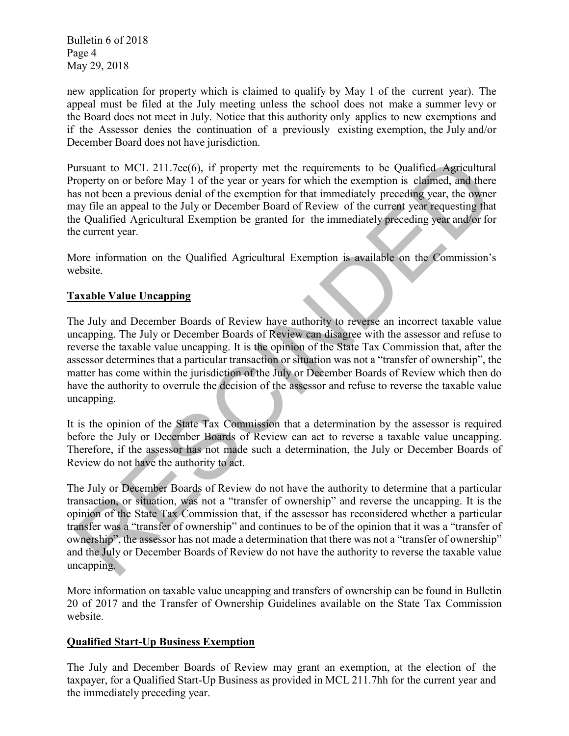Bulletin 6 of 2018 Page 4 May 29, 2018

new application for property which is claimed to qualify by May 1 of the current year). The appeal must be filed at the July meeting unless the school does not make a summer levy or the Board does not meet in July. Notice that this authority only applies to new exemptions and if the Assessor denies the continuation of a previously existing exemption, the July and/or December Board does not have jurisdiction.

Pursuant to MCL 211.7ee(6), if property met the requirements to be Qualified Agricultural Property on or before May 1 of the year or years for which the exemption is claimed, and there has not been a previous denial of the exemption for that immediately preceding year, the owner may file an appeal to the July or December Board of Review of the current year requesting that the Qualified Agricultural Exemption be granted for the immediately preceding year and/or for the current year.

More information on the Qualified Agricultural Exemption is available on the Commission's website.

## **Taxable Value Uncapping**

The July and December Boards of Review have authority to reverse an incorrect taxable value uncapping. The July or December Boards of Review can disagree with the assessor and refuse to reverse the taxable value uncapping. It is the opinion of the State Tax Commission that, after the assessor determines that a particular transaction or situation was not a "transfer of ownership", the matter has come within the jurisdiction of the July or December Boards of Review which then do have the authority to overrule the decision of the assessor and refuse to reverse the taxable value uncapping. ursuant to MCI. 211.7ee(6), if property met the requirements to be Qualified Agricultura<br>corpory on or before May 1 of the year or years for which the exemption is claimed, and there<br>as not been a previous denial of the ex

It is the opinion of the State Tax Commission that a determination by the assessor is required before the July or December Boards of Review can act to reverse a taxable value uncapping. Therefore, if the assessor has not made such a determination, the July or December Boards of Review do not have the authority to act.

The July or December Boards of Review do not have the authority to determine that a particular transaction, or situation, was not a "transfer of ownership" and reverse the uncapping. It is the opinion of the State Tax Commission that, if the assessor has reconsidered whether a particular transfer was a "transfer of ownership" and continues to be of the opinion that it was a "transfer of ownership", the assessor has not made a determination that there was not a "transfer of ownership" and the July or December Boards of Review do not have the authority to reverse the taxable value uncapping.

More information on taxable value uncapping and transfers of ownership can be found in Bulletin 20 of 2017 and the Transfer of Ownership Guidelines available on the State Tax Commission website.

## **Qualified Start-Up Business Exemption**

The July and December Boards of Review may grant an exemption, at the election of the taxpayer, for a Qualified Start-Up Business as provided in MCL 211.7hh for the current year and the immediately preceding year.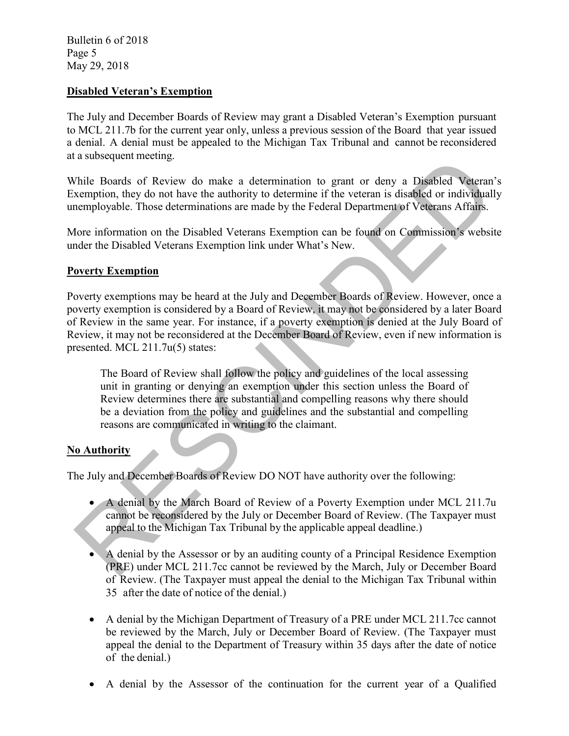Bulletin 6 of 2018 Page 5 May 29, 2018

#### **Disabled Veteran's Exemption**

The July and December Boards of Review may grant a Disabled Veteran's Exemption pursuant to MCL 211.7b for the current year only, unless a previous session of the Board that year issued a denial. A denial must be appealed to the Michigan Tax Tribunal and cannot be reconsidered at a subsequent meeting.

While Boards of Review do make a determination to grant or deny a Disabled Veteran's Exemption, they do not have the authority to determine if the veteran is disabled or individually unemployable. Those determinations are made by the Federal Department of Veterans Affairs.

More information on the Disabled Veterans Exemption can be found on Commission's website under the Disabled Veterans Exemption link under What's New.

#### **Poverty Exemption**

Poverty exemptions may be heard at the July and December Boards of Review. However, once a poverty exemption is considered by a Board of Review, it may not be considered by a later Board of Review in the same year. For instance, if a poverty exemption is denied at the July Board of Review, it may not be reconsidered at the December Board of Review, even if new information is presented. MCL 211.7u(5) states: a subsequent meeting.<br>
A denial by the Review do make a determination to grant or deny a Disabled Veteran<br>
Xemption, they do not have the authority to determine if the veteran is disabled or individual<br>
nemployable. Those

The Board of Review shall follow the policy and guidelines of the local assessing unit in granting or denying an exemption under this section unless the Board of Review determines there are substantial and compelling reasons why there should be a deviation from the policy and guidelines and the substantial and compelling reasons are communicated in writing to the claimant.

## **No Authority**

The July and December Boards of Review DO NOT have authority over the following:

- A denial by the March Board of Review of a Poverty Exemption under MCL 211.7u cannot be reconsidered by the July or December Board of Review. (The Taxpayer must appeal to the Michigan Tax Tribunal by the applicable appeal deadline.)
- A denial by the Assessor or by an auditing county of a Principal Residence Exemption (PRE) under MCL 211.7cc cannot be reviewed by the March, July or December Board of Review. (The Taxpayer must appeal the denial to the Michigan Tax Tribunal within 35 after the date of notice of the denial.)
- A denial by the Michigan Department of Treasury of a PRE under MCL 211.7cc cannot be reviewed by the March, July or December Board of Review. (The Taxpayer must appeal the denial to the Department of Treasury within 35 days after the date of notice of the denial.)
- A denial by the Assessor of the continuation for the current year of a Qualified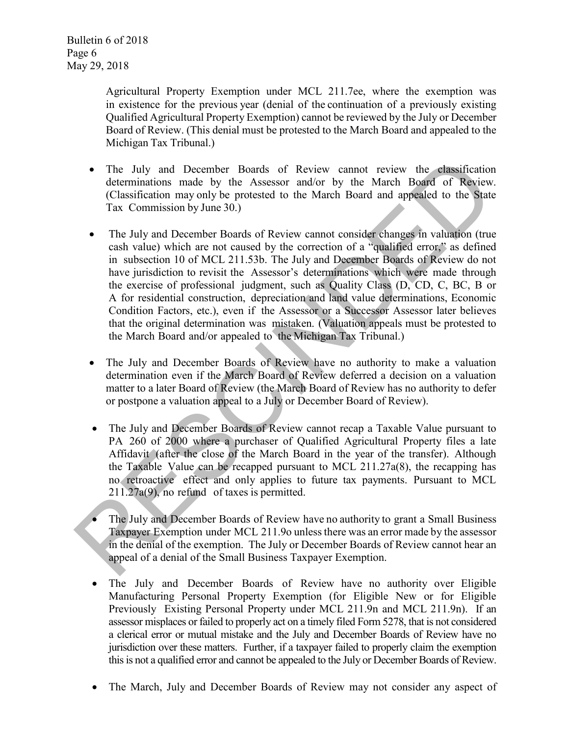Bulletin 6 of 2018 Page 6 May 29, 2018

> Agricultural Property Exemption under MCL 211.7ee, where the exemption was in existence for the previous year (denial of the continuation of a previously existing Qualified Agricultural Property Exemption) cannot be reviewed by the July or December Board of Review. (This denial must be protested to the March Board and appealed to the Michigan Tax Tribunal.)

- The July and December Boards of Review cannot review the classification determinations made by the Assessor and/or by the March Board of Review. (Classification may only be protested to the March Board and appealed to the State Tax Commission by June 30.)
- The July and December Boards of Review cannot consider changes in valuation (true cash value) which are not caused by the correction of a "qualified error," as defined in subsection 10 of MCL 211.53b. The July and December Boards of Review do not have jurisdiction to revisit the Assessor's determinations which were made through the exercise of professional judgment, such as Quality Class (D, CD, C, BC, B or A for residential construction, depreciation and land value determinations, Economic Condition Factors, etc.), even if the Assessor or a Successor Assessor later believes that the original determination was mistaken. (Valuation appeals must be protested to the March Board and/or appealed to the Michigan Tax Tribunal.) • The July and December Boards of Review cannot review the elassification<br>determinations made by the Assessor and/or by the March Board of Review<br>(Classification may only be protested to the March Board and appealed to
	- The July and December Boards of Review have no authority to make a valuation determination even if the March Board of Review deferred a decision on a valuation matter to a later Board of Review (the March Board of Review has no authority to defer or postpone a valuation appeal to a July or December Board of Review).
	- The July and December Boards of Review cannot recap a Taxable Value pursuant to PA 260 of 2000 where a purchaser of Qualified Agricultural Property files a late Affidavit (after the close of the March Board in the year of the transfer). Although the Taxable Value can be recapped pursuant to MCL 211.27a(8), the recapping has no retroactive effect and only applies to future tax payments. Pursuant to MCL 211.27a(9), no refund of taxes is permitted.
	- The July and December Boards of Review have no authority to grant a Small Business Taxpayer Exemption under MCL 211.9o unless there was an error made by the assessor in the denial of the exemption. The July or December Boards of Review cannot hear an appeal of a denial of the Small Business Taxpayer Exemption.
	- The July and December Boards of Review have no authority over Eligible Manufacturing Personal Property Exemption (for Eligible New or for Eligible Previously Existing Personal Property under MCL 211.9n and MCL 211.9n). If an assessor misplaces or failed to properly act on a timely filed Form 5278, that is not considered a clerical error or mutual mistake and the July and December Boards of Review have no jurisdiction over these matters. Further, if a taxpayer failed to properly claim the exemption this is not a qualified error and cannot be appealed to the July or December Boards of Review.
	- The March, July and December Boards of Review may not consider any aspect of